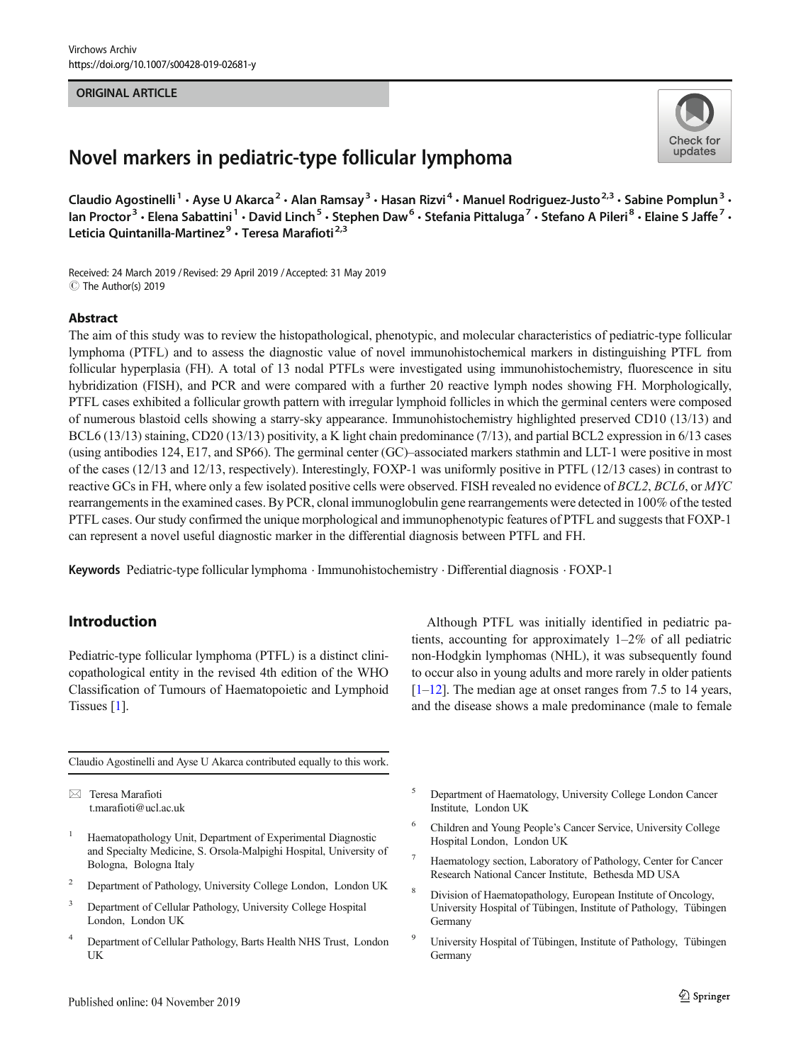#### ORIGINAL ARTICLE

# Novel markers in pediatric-type follicular lymphoma

Claudio Agostinelli<sup>1</sup> · Ayse U Akarca<sup>2</sup> · Alan Ramsay<sup>3</sup> · Hasan Rizvi<sup>4</sup> · Manuel Rodriguez-Justo<sup>2,3</sup> · Sabine Pomplun<sup>3</sup> · Ian Proctor<sup>3</sup> • Elena Sabattini<sup>1</sup> • David Linch<sup>5</sup> • Stephen Daw<sup>6</sup> • Stefania Pittaluga<sup>7</sup> • Stefano A Pileri<sup>8</sup> • Elaine S Jaffe<sup>7</sup> • Leticia Quintanilla-Martinez<sup>9</sup> · Teresa Marafioti<sup>2,3</sup>

Received: 24 March 2019 / Revised: 29 April 2019 /Accepted: 31 May 2019 C The Author(s) 2019

#### Abstract

The aim of this study was to review the histopathological, phenotypic, and molecular characteristics of pediatric-type follicular lymphoma (PTFL) and to assess the diagnostic value of novel immunohistochemical markers in distinguishing PTFL from follicular hyperplasia (FH). A total of 13 nodal PTFLs were investigated using immunohistochemistry, fluorescence in situ hybridization (FISH), and PCR and were compared with a further 20 reactive lymph nodes showing FH. Morphologically, PTFL cases exhibited a follicular growth pattern with irregular lymphoid follicles in which the germinal centers were composed of numerous blastoid cells showing a starry-sky appearance. Immunohistochemistry highlighted preserved CD10 (13/13) and BCL6 (13/13) staining, CD20 (13/13) positivity, a K light chain predominance (7/13), and partial BCL2 expression in 6/13 cases (using antibodies 124, E17, and SP66). The germinal center (GC)–associated markers stathmin and LLT-1 were positive in most of the cases (12/13 and 12/13, respectively). Interestingly, FOXP-1 was uniformly positive in PTFL (12/13 cases) in contrast to reactive GCs in FH, where only a few isolated positive cells were observed. FISH revealed no evidence of BCL2, BCL6, or MYC rearrangements in the examined cases. By PCR, clonal immunoglobulin gene rearrangements were detected in 100% of the tested PTFL cases. Our study confirmed the unique morphological and immunophenotypic features of PTFL and suggests that FOXP-1 can represent a novel useful diagnostic marker in the differential diagnosis between PTFL and FH.

Keywords Pediatric-type follicular lymphoma . Immunohistochemistry . Differential diagnosis . FOXP-1

# Introduction

Pediatric-type follicular lymphoma (PTFL) is a distinct clinicopathological entity in the revised 4th edition of the WHO Classification of Tumours of Haematopoietic and Lymphoid Tissues [\[1](#page-7-0)].

Claudio Agostinelli and Ayse U Akarca contributed equally to this work.

 $\boxtimes$  Teresa Marafioti [t.marafioti@ucl.ac.uk](mailto:t.marafioti@ucl.ac.uk)

- <sup>1</sup> Haematopathology Unit, Department of Experimental Diagnostic and Specialty Medicine, S. Orsola-Malpighi Hospital, University of Bologna, Bologna Italy
- <sup>2</sup> Department of Pathology, University College London, London UK
- <sup>3</sup> Department of Cellular Pathology, University College Hospital London, London UK
- <sup>4</sup> Department of Cellular Pathology, Barts Health NHS Trust, London UK

Although PTFL was initially identified in pediatric patients, accounting for approximately 1–2% of all pediatric non-Hodgkin lymphomas (NHL), it was subsequently found to occur also in young adults and more rarely in older patients  $[1–12]$  $[1–12]$  $[1–12]$ . The median age at onset ranges from 7.5 to 14 years, and the disease shows a male predominance (male to female

- <sup>5</sup> Department of Haematology, University College London Cancer Institute, London UK
- <sup>6</sup> Children and Young People's Cancer Service, University College Hospital London, London UK
- Haematology section, Laboratory of Pathology, Center for Cancer Research National Cancer Institute, Bethesda MD USA
- <sup>8</sup> Division of Haematopathology, European Institute of Oncology, University Hospital of Tübingen, Institute of Pathology, Tübingen Germany
- <sup>9</sup> University Hospital of Tübingen, Institute of Pathology, Tübingen Germany



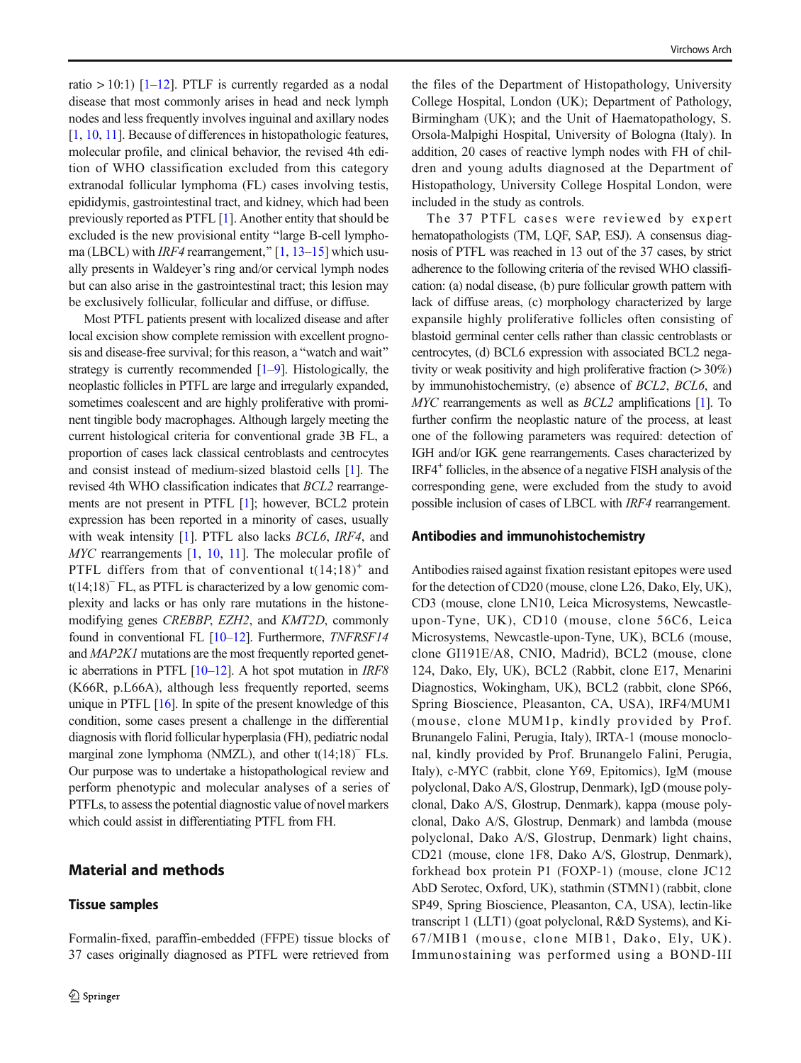ratio  $> 10:1$ ) [\[1](#page-7-0)–[12](#page-7-0)]. PTLF is currently regarded as a nodal disease that most commonly arises in head and neck lymph nodes and less frequently involves inguinal and axillary nodes [\[1](#page-7-0), [10](#page-7-0), [11\]](#page-7-0). Because of differences in histopathologic features, molecular profile, and clinical behavior, the revised 4th edition of WHO classification excluded from this category extranodal follicular lymphoma (FL) cases involving testis, epididymis, gastrointestinal tract, and kidney, which had been previously reported as PTFL [[1\]](#page-7-0). Another entity that should be excluded is the new provisional entity "large B-cell lymphoma (LBCL) with *IRF4* rearrangement,"  $[1, 13–15]$  $[1, 13–15]$  $[1, 13–15]$  $[1, 13–15]$  $[1, 13–15]$  $[1, 13–15]$  $[1, 13–15]$  which usually presents in Waldeyer's ring and/or cervical lymph nodes but can also arise in the gastrointestinal tract; this lesion may be exclusively follicular, follicular and diffuse, or diffuse.

Most PTFL patients present with localized disease and after local excision show complete remission with excellent prognosis and disease-free survival; for this reason, a "watch and wait" strategy is currently recommended [\[1](#page-7-0)–[9\]](#page-7-0). Histologically, the neoplastic follicles in PTFL are large and irregularly expanded, sometimes coalescent and are highly proliferative with prominent tingible body macrophages. Although largely meeting the current histological criteria for conventional grade 3B FL, a proportion of cases lack classical centroblasts and centrocytes and consist instead of medium-sized blastoid cells [[1\]](#page-7-0). The revised 4th WHO classification indicates that BCL2 rearrangements are not present in PTFL [\[1\]](#page-7-0); however, BCL2 protein expression has been reported in a minority of cases, usually with weak intensity [\[1](#page-7-0)]. PTFL also lacks *BCL6*, *IRF4*, and MYC rearrangements [\[1](#page-7-0), [10,](#page-7-0) [11\]](#page-7-0). The molecular profile of PTFL differs from that of conventional  $t(14;18)^+$  and t(14;18)<sup>−</sup> FL, as PTFL is characterized by a low genomic complexity and lacks or has only rare mutations in the histonemodifying genes CREBBP, EZH2, and KMT2D, commonly found in conventional FL [[10](#page-7-0)–[12\]](#page-7-0). Furthermore, *TNFRSF14* and MAP2K1 mutations are the most frequently reported genetic aberrations in PTFL [\[10](#page-7-0)–[12\]](#page-7-0). A hot spot mutation in IRF8 (K66R, p.L66A), although less frequently reported, seems unique in PTFL  $[16]$  $[16]$  $[16]$ . In spite of the present knowledge of this condition, some cases present a challenge in the differential diagnosis with florid follicular hyperplasia (FH), pediatric nodal marginal zone lymphoma (NMZL), and other t(14;18)<sup>−</sup> FLs. Our purpose was to undertake a histopathological review and perform phenotypic and molecular analyses of a series of PTFLs, to assess the potential diagnostic value of novel markers which could assist in differentiating PTFL from FH.

## Material and methods

#### Tissue samples

Formalin-fixed, paraffin-embedded (FFPE) tissue blocks of

the files of the Department of Histopathology, University College Hospital, London (UK); Department of Pathology, Birmingham (UK); and the Unit of Haematopathology, S. Orsola-Malpighi Hospital, University of Bologna (Italy). In addition, 20 cases of reactive lymph nodes with FH of children and young adults diagnosed at the Department of Histopathology, University College Hospital London, were included in the study as controls.

The 37 PTFL cases were reviewed by expert hematopathologists (TM, LQF, SAP, ESJ). A consensus diagnosis of PTFL was reached in 13 out of the 37 cases, by strict adherence to the following criteria of the revised WHO classification: (a) nodal disease, (b) pure follicular growth pattern with lack of diffuse areas, (c) morphology characterized by large expansile highly proliferative follicles often consisting of blastoid germinal center cells rather than classic centroblasts or centrocytes, (d) BCL6 expression with associated BCL2 negativity or weak positivity and high proliferative fraction (> 30%) by immunohistochemistry, (e) absence of BCL2, BCL6, and MYC rearrangements as well as *BCL2* amplifications [\[1](#page-7-0)]. To further confirm the neoplastic nature of the process, at least one of the following parameters was required: detection of IGH and/or IGK gene rearrangements. Cases characterized by IRF4+ follicles, in the absence of a negative FISH analysis of the corresponding gene, were excluded from the study to avoid possible inclusion of cases of LBCL with IRF4 rearrangement.

#### Antibodies and immunohistochemistry

Antibodies raised against fixation resistant epitopes were used for the detection of CD20 (mouse, clone L26, Dako, Ely, UK), CD3 (mouse, clone LN10, Leica Microsystems, Newcastleupon-Tyne, UK), CD10 (mouse, clone 56C6, Leica Microsystems, Newcastle-upon-Tyne, UK), BCL6 (mouse, clone GI191E/A8, CNIO, Madrid), BCL2 (mouse, clone 124, Dako, Ely, UK), BCL2 (Rabbit, clone E17, Menarini Diagnostics, Wokingham, UK), BCL2 (rabbit, clone SP66, Spring Bioscience, Pleasanton, CA, USA), IRF4/MUM1 (mouse, clone MUM1p, kindly provided by Prof. Brunangelo Falini, Perugia, Italy), IRTA-1 (mouse monoclonal, kindly provided by Prof. Brunangelo Falini, Perugia, Italy), c-MYC (rabbit, clone Y69, Epitomics), IgM (mouse polyclonal, Dako A/S, Glostrup, Denmark), IgD (mouse polyclonal, Dako A/S, Glostrup, Denmark), kappa (mouse polyclonal, Dako A/S, Glostrup, Denmark) and lambda (mouse polyclonal, Dako A/S, Glostrup, Denmark) light chains, CD21 (mouse, clone 1F8, Dako A/S, Glostrup, Denmark), forkhead box protein P1 (FOXP-1) (mouse, clone JC12 AbD Serotec, Oxford, UK), stathmin (STMN1) (rabbit, clone SP49, Spring Bioscience, Pleasanton, CA, USA), lectin-like transcript 1 (LLT1) (goat polyclonal, R&D Systems), and Ki-67/MIB1 (mouse, clone MIB1, Dako, Ely, UK). Immunostaining was performed using a BOND-III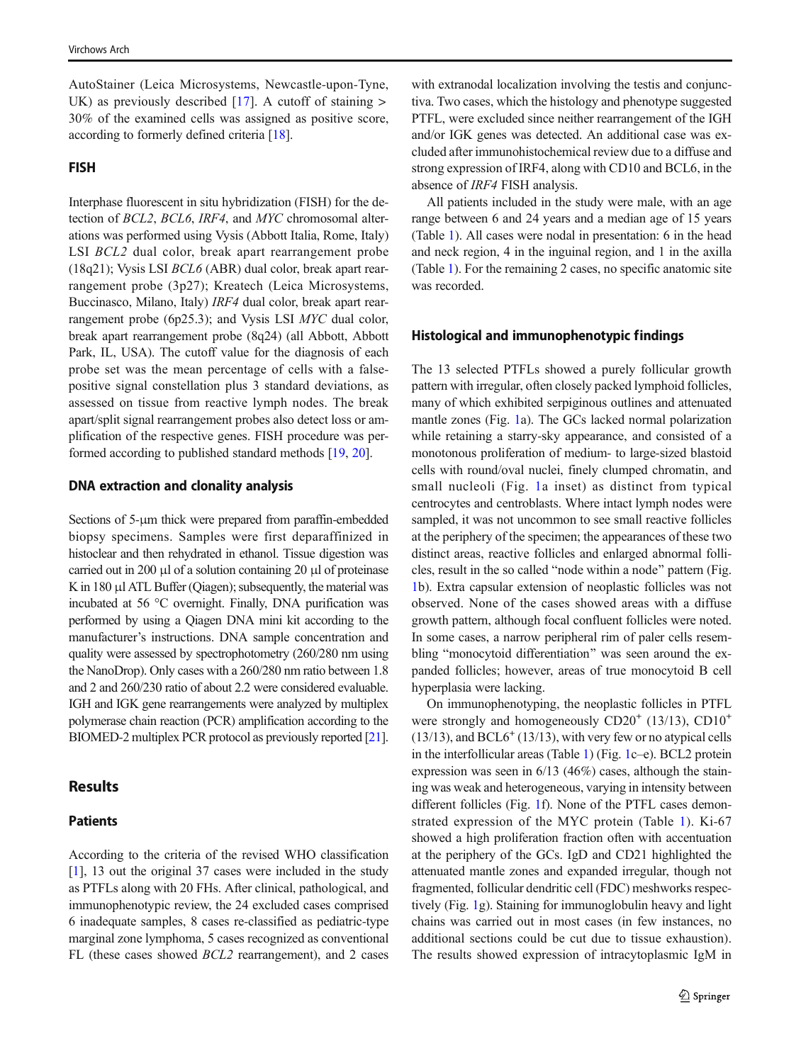AutoStainer (Leica Microsystems, Newcastle-upon-Tyne, UK) as previously described  $[17]$  $[17]$ . A cutoff of staining  $>$ 30% of the examined cells was assigned as positive score, according to formerly defined criteria [[18](#page-7-0)].

## FISH

Interphase fluorescent in situ hybridization (FISH) for the detection of BCL2, BCL6, IRF4, and MYC chromosomal alterations was performed using Vysis (Abbott Italia, Rome, Italy) LSI BCL2 dual color, break apart rearrangement probe (18q21); Vysis LSI BCL6 (ABR) dual color, break apart rearrangement probe (3p27); Kreatech (Leica Microsystems, Buccinasco, Milano, Italy) IRF4 dual color, break apart rearrangement probe (6p25.3); and Vysis LSI MYC dual color, break apart rearrangement probe (8q24) (all Abbott, Abbott Park, IL, USA). The cutoff value for the diagnosis of each probe set was the mean percentage of cells with a falsepositive signal constellation plus 3 standard deviations, as assessed on tissue from reactive lymph nodes. The break apart/split signal rearrangement probes also detect loss or amplification of the respective genes. FISH procedure was performed according to published standard methods [\[19,](#page-7-0) [20\]](#page-7-0).

#### DNA extraction and clonality analysis

Sections of 5-μm thick were prepared from paraffin-embedded biopsy specimens. Samples were first deparaffinized in histoclear and then rehydrated in ethanol. Tissue digestion was carried out in 200 μl of a solution containing 20 μl of proteinase K in 180 μl ATL Buffer (Qiagen); subsequently, the material was incubated at 56 °C overnight. Finally, DNA purification was performed by using a Qiagen DNA mini kit according to the manufacturer's instructions. DNA sample concentration and quality were assessed by spectrophotometry (260/280 nm using the NanoDrop). Only cases with a 260/280 nm ratio between 1.8 and 2 and 260/230 ratio of about 2.2 were considered evaluable. IGH and IGK gene rearrangements were analyzed by multiplex polymerase chain reaction (PCR) amplification according to the BIOMED-2 multiplex PCR protocol as previously reported [\[21\]](#page-7-0).

#### Results

## Patients

According to the criteria of the revised WHO classification [\[1](#page-7-0)], 13 out the original 37 cases were included in the study as PTFLs along with 20 FHs. After clinical, pathological, and immunophenotypic review, the 24 excluded cases comprised 6 inadequate samples, 8 cases re-classified as pediatric-type marginal zone lymphoma, 5 cases recognized as conventional FL (these cases showed BCL2 rearrangement), and 2 cases

with extranodal localization involving the testis and conjunctiva. Two cases, which the histology and phenotype suggested PTFL, were excluded since neither rearrangement of the IGH and/or IGK genes was detected. An additional case was excluded after immunohistochemical review due to a diffuse and strong expression of IRF4, along with CD10 and BCL6, in the absence of IRF4 FISH analysis.

All patients included in the study were male, with an age range between 6 and 24 years and a median age of 15 years (Table [1](#page-3-0)). All cases were nodal in presentation: 6 in the head and neck region, 4 in the inguinal region, and 1 in the axilla (Table [1\)](#page-3-0). For the remaining 2 cases, no specific anatomic site was recorded.

## Histological and immunophenotypic findings

The 13 selected PTFLs showed a purely follicular growth pattern with irregular, often closely packed lymphoid follicles, many of which exhibited serpiginous outlines and attenuated mantle zones (Fig. [1](#page-4-0)a). The GCs lacked normal polarization while retaining a starry-sky appearance, and consisted of a monotonous proliferation of medium- to large-sized blastoid cells with round/oval nuclei, finely clumped chromatin, and small nucleoli (Fig. [1](#page-4-0)a inset) as distinct from typical centrocytes and centroblasts. Where intact lymph nodes were sampled, it was not uncommon to see small reactive follicles at the periphery of the specimen; the appearances of these two distinct areas, reactive follicles and enlarged abnormal follicles, result in the so called "node within a node" pattern (Fig. [1](#page-4-0)b). Extra capsular extension of neoplastic follicles was not observed. None of the cases showed areas with a diffuse growth pattern, although focal confluent follicles were noted. In some cases, a narrow peripheral rim of paler cells resembling "monocytoid differentiation" was seen around the expanded follicles; however, areas of true monocytoid B cell hyperplasia were lacking.

On immunophenotyping, the neoplastic follicles in PTFL were strongly and homogeneously  $CD20^+$  (13/13),  $CD10^+$  $(13/13)$ , and BCL6<sup>+</sup>  $(13/13)$ , with very few or no atypical cells in the interfollicular areas (Table [1](#page-3-0)) (Fig. [1](#page-4-0)c–e). BCL2 protein expression was seen in 6/13 (46%) cases, although the staining was weak and heterogeneous, varying in intensity between different follicles (Fig. [1f](#page-4-0)). None of the PTFL cases demonstrated expression of the MYC protein (Table [1](#page-3-0)). Ki-67 showed a high proliferation fraction often with accentuation at the periphery of the GCs. IgD and CD21 highlighted the attenuated mantle zones and expanded irregular, though not fragmented, follicular dendritic cell (FDC) meshworks respectively (Fig. [1](#page-4-0)g). Staining for immunoglobulin heavy and light chains was carried out in most cases (in few instances, no additional sections could be cut due to tissue exhaustion). The results showed expression of intracytoplasmic IgM in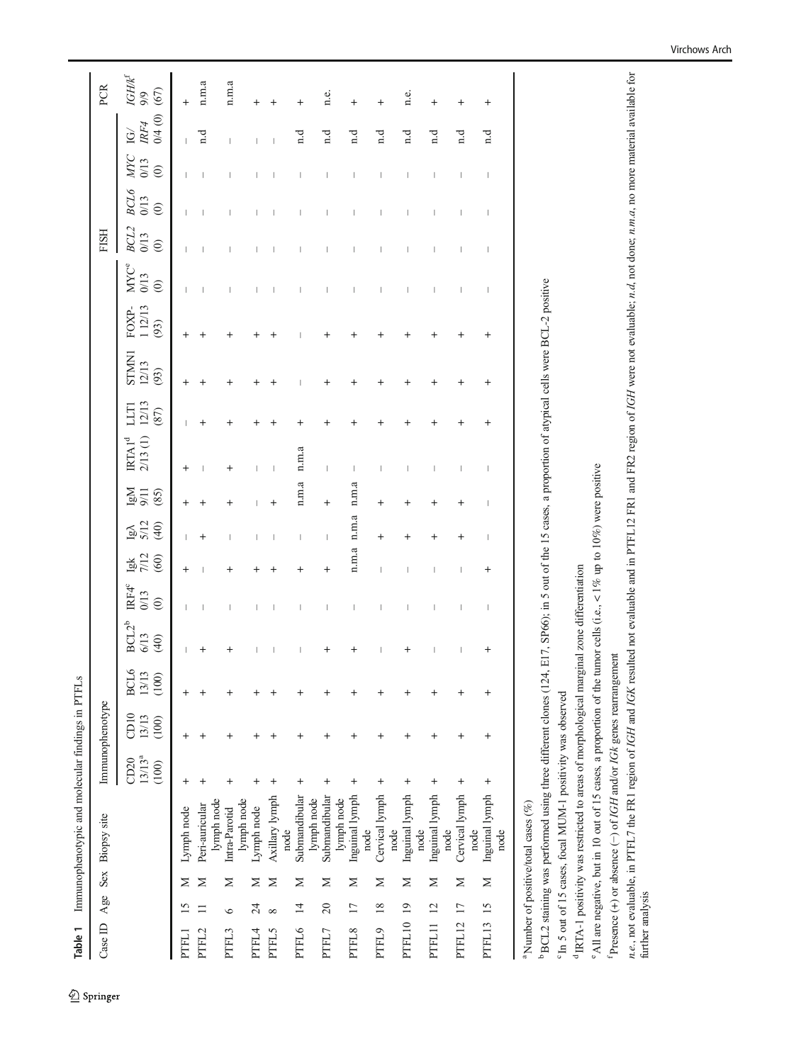<span id="page-3-0"></span>

| Table 1          |                         |            | Immunophenotypic and molecular findings in PTFLs                                                                                                                                                                                                                           |                              |                                  |                        |                          |                          |                                      |                              |                                                             |                              |                                                                                             |                         |                                           |                         |                         |                               |                                  |                                                                       |
|------------------|-------------------------|------------|----------------------------------------------------------------------------------------------------------------------------------------------------------------------------------------------------------------------------------------------------------------------------|------------------------------|----------------------------------|------------------------|--------------------------|--------------------------|--------------------------------------|------------------------------|-------------------------------------------------------------|------------------------------|---------------------------------------------------------------------------------------------|-------------------------|-------------------------------------------|-------------------------|-------------------------|-------------------------------|----------------------------------|-----------------------------------------------------------------------|
| Case ID          | Age                     | <b>Sex</b> | <b>Biopsy</b> site                                                                                                                                                                                                                                                         |                              | Immunophenotype                  |                        |                          |                          |                                      |                              |                                                             |                              |                                                                                             |                         |                                           | <b>FISH</b>             |                         |                               |                                  | PCR                                                                   |
|                  |                         |            |                                                                                                                                                                                                                                                                            | $13/13^{a}$<br>CD20<br>(100) | CD10<br>13/13<br>(100)           | BCL6<br>13/13<br>(100) | $BCL2^b$<br>6/13<br>(40) | IRF4°<br>0/13<br>$\odot$ | 7/12<br>(60)<br>函<br>                | 5/12<br>(40)<br>$\mathbb{Z}$ | 2/13(1)<br>IRTA1 <sup>d</sup><br>$\frac{lgM}{9/11}$<br>(85) | 12/13<br><b>ELLI</b><br>(87) | STMN1<br>12/13<br>(93)                                                                      | 112/13<br>FOXP-<br>(93) | <b>MYC<sup>e</sup></b><br>0/13<br>$\odot$ | BCL2<br>0/13<br>$\odot$ | BCL6<br>0/13<br>$\odot$ | <b>MNC</b><br>0/13<br>$\odot$ | 0/4(0)<br>IRF4<br>$\mathfrak{S}$ | $\ensuremath{\mathit{IGHK}}^{\ensuremath{\mathit{f}}}$<br>(67)<br>9/9 |
| PTFL1            | $\overline{15}$         | Σ          | Lymph node                                                                                                                                                                                                                                                                 | $^{+}$                       | $^+$                             | $\,{}^+$               |                          |                          | $\overline{+}$                       |                              |                                                             |                              | $\,{}^+$                                                                                    | $^+$                    |                                           |                         |                         |                               |                                  | $\,{}^+$                                                              |
| PTFL2            | $\equiv$                | z          | Peri-auricular                                                                                                                                                                                                                                                             | $\,^+$                       | $\,^+$                           | $\,{}^+$               | $\,^+$                   |                          | $\,{}^+$                             |                              |                                                             | $^{+}$                       | $\,{}^+$                                                                                    | $\,{}^+$                |                                           |                         |                         |                               | n.d                              | n.m.a                                                                 |
| PTFL3            | $\circ$                 | Σ          | lymph node<br>Intra-Parotid                                                                                                                                                                                                                                                | $\,^+$                       | $\,^+$                           | +                      |                          |                          |                                      |                              |                                                             |                              | $\,{}^+$                                                                                    |                         |                                           |                         |                         |                               |                                  | n.m.a                                                                 |
| PTFL4            | 24                      | Σ          | lymph node<br>Lymph node                                                                                                                                                                                                                                                   | $\hbox{+}$                   | $^{+}$                           | $\hbox{ }$             |                          |                          |                                      |                              |                                                             |                              |                                                                                             |                         |                                           |                         |                         |                               |                                  |                                                                       |
| <b>PTFL5</b>     | ${}^{\circ}$            | Σ          | Axillary lymph                                                                                                                                                                                                                                                             | $^{+}$                       | $\begin{array}{c} + \end{array}$ | +                      |                          |                          |                                      | $\ddot{}$                    |                                                             |                              | $\,{}^+$                                                                                    |                         |                                           |                         |                         |                               |                                  |                                                                       |
| PTFL6            | $\overline{1}$          | Σ          | Submandibular<br>node                                                                                                                                                                                                                                                      | $\ddot{}$                    | $\,^+$                           | +                      |                          |                          | $\overline{1}$                       |                              | n.m.a<br>n.m.a                                              |                              |                                                                                             |                         |                                           |                         |                         |                               | $\vec{a}$                        |                                                                       |
| PTFL7            | 20                      | Σ          | Submandibular<br>lymph node                                                                                                                                                                                                                                                | $^{+}$                       | $^{+}$                           | $\,{}^+$               | $\,{}^+$                 |                          | $\overline{\phantom{a}}$<br>$\,{}^+$ | $^{+}$                       | $\overline{\phantom{a}}$                                    |                              | $\,{}^+$                                                                                    | $\,{}^+$                |                                           |                         |                         | $\overline{\phantom{a}}$      | $n \cdot d$                      | n.e.                                                                  |
| PTFL8            | $\overline{17}$         | Σ          | Inguinal lymph<br>lymph node                                                                                                                                                                                                                                               | $^{+}$                       | $^{+}$                           | +                      | $\,{}^+$                 |                          | n.m.a                                | n.m.a                        | n.m.a                                                       |                              |                                                                                             |                         |                                           |                         |                         |                               | n.d                              | $^{+}$                                                                |
| PTFL9            | 18                      | Σ          | Cervical lymph<br>node                                                                                                                                                                                                                                                     | $\ddot{}$                    | $\,^+$                           | +                      |                          |                          | $^+$<br>$\overline{1}$               | $^+$                         |                                                             |                              | $\,{}^+$                                                                                    | $\ddot{}$               |                                           |                         |                         | I                             | $_{\rm n.d}$                     | $\overline{+}$                                                        |
| PTFL10           | $\overline{19}$         | Σ          | Inguinal lymph<br>node<br>node                                                                                                                                                                                                                                             | $\ddot{}$                    | $\,^+$                           | $\,{}^+$               | $\,{}^+$                 |                          |                                      | +                            |                                                             | $\,{}^+$                     | $\,{}^+$                                                                                    | $\,{}^+$                | I                                         |                         |                         | I                             | n.d                              | n.e.                                                                  |
| PTFL11           | $\overline{\mathbb{L}}$ | Σ          | Inguinal lymph<br>node                                                                                                                                                                                                                                                     | $^{+}$                       | $\ddot{}$                        | +                      |                          |                          |                                      | +                            |                                                             | +                            | $\overline{\phantom{a}}$                                                                    |                         |                                           |                         |                         |                               | n.d                              | $\,{}^+$                                                              |
| PTFL12           | $\overline{17}$         | $\geq$     | Cervical lymph<br>node                                                                                                                                                                                                                                                     | $^{+}$                       | $^{+}$                           | $\,^+$                 |                          |                          |                                      | $\,{}^+$                     |                                                             |                              | $\ddot{}$                                                                                   | $\,{}^+$                |                                           |                         |                         | $\mathbf{I}$                  | $_{\rm n.d}$                     | $\ddot{}$                                                             |
| PTFL13           | 15                      | Σ          | Inguinal lymph<br>node                                                                                                                                                                                                                                                     | $\ddot{}$                    | $^{+}$                           | +                      | $\overline{+}$           |                          | +                                    |                              |                                                             |                              | $\,{}^+$                                                                                    | $\,{}^+$                |                                           |                         |                         |                               | n.d                              | +                                                                     |
|                  |                         |            | <sup>a</sup> Number of positive/total cases (%)                                                                                                                                                                                                                            |                              |                                  |                        |                          |                          |                                      |                              |                                                             |                              |                                                                                             |                         |                                           |                         |                         |                               |                                  |                                                                       |
|                  |                         |            | <sup>b</sup> BCL2 staining was performed using three different clones (124<br><sup>c</sup> In 5 out of 15 cases, focal MUM-1 positivity was observed                                                                                                                       |                              |                                  |                        |                          |                          |                                      |                              |                                                             |                              | 4, E17, SP66); in 5 out of the 15 cases, a proportion of atypical cells were BCL-2 positive |                         |                                           |                         |                         |                               |                                  |                                                                       |
|                  |                         |            | <sup>e</sup> All are negative, but in 10 out of 15 cases, a proportion of the tumor cells (i.e., < 1% up to 10%) were positive<br><sup>d</sup> IRTA-1 positivity was restricted to areas of morphological marginal zone differentiation                                    |                              |                                  |                        |                          |                          |                                      |                              |                                                             |                              |                                                                                             |                         |                                           |                         |                         |                               |                                  |                                                                       |
|                  |                         |            | n.e., not evaluable, in PTFL7 the FR1 region of IGH and IGK resulted not evaluable and in PTFL12 FR1 and FR2 region of IGH were not evaluable; n.d, not done; n.m.a, no more material available for<br>f Presence (+) or absence (-) of IGH and/or IGk genes rearrangement |                              |                                  |                        |                          |                          |                                      |                              |                                                             |                              |                                                                                             |                         |                                           |                         |                         |                               |                                  |                                                                       |
| further analysis |                         |            |                                                                                                                                                                                                                                                                            |                              |                                  |                        |                          |                          |                                      |                              |                                                             |                              |                                                                                             |                         |                                           |                         |                         |                               |                                  |                                                                       |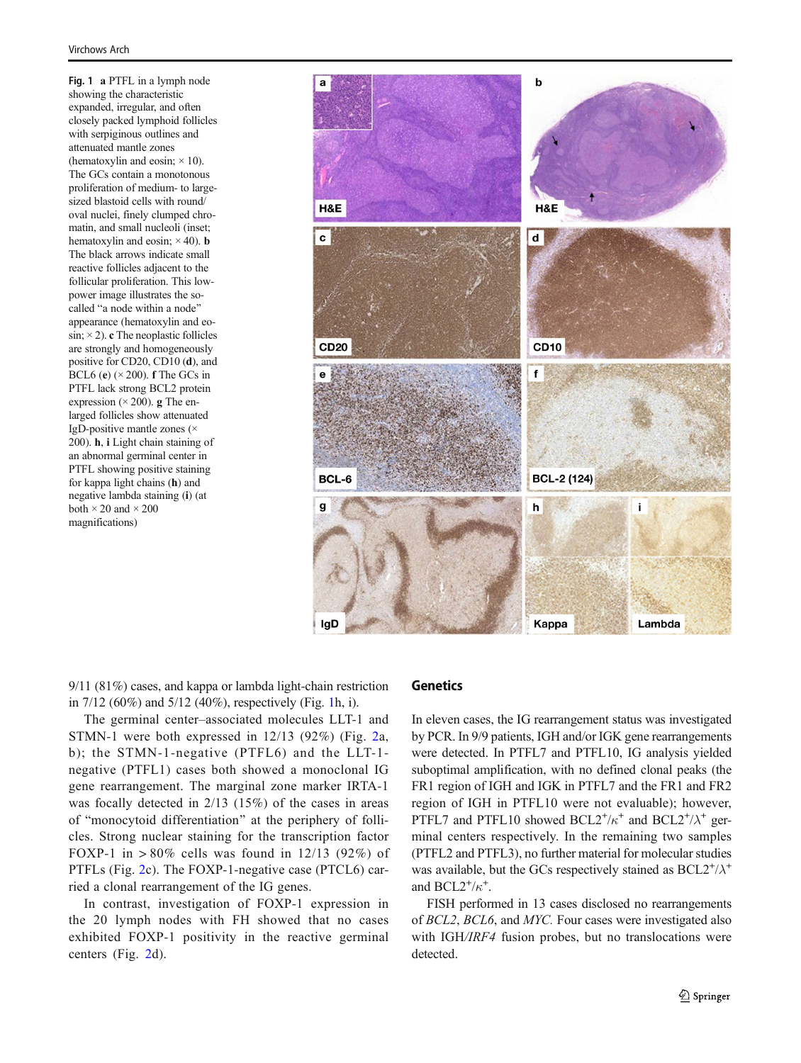<span id="page-4-0"></span>Fig. 1 a PTFL in a lymph node showing the characteristic expanded, irregular, and often closely packed lymphoid follicles with serpiginous outlines and attenuated mantle zones (hematoxylin and eosin;  $\times$  10). The GCs contain a monotonous proliferation of medium- to largesized blastoid cells with round/ oval nuclei, finely clumped chromatin, and small nucleoli (inset; hematoxylin and eosin;  $\times$  40). **b** The black arrows indicate small reactive follicles adjacent to the follicular proliferation. This lowpower image illustrates the socalled "a node within a node" appearance (hematoxylin and eo- $\sin$ ;  $\times$  2). c The neoplastic follicles are strongly and homogeneously positive for CD20, CD10 (d), and BCL6 (e)  $(\times 200)$ . f The GCs in PTFL lack strong BCL2 protein expression  $(\times 200)$ . g The enlarged follicles show attenuated IgD-positive mantle zones (× 200). h, i Light chain staining of an abnormal germinal center in PTFL showing positive staining for kappa light chains (h) and negative lambda staining (i) (at both  $\times$  20 and  $\times$  200 magnifications)



9/11 (81%) cases, and kappa or lambda light-chain restriction in 7/12 (60%) and 5/12 (40%), respectively (Fig. 1h, i).

The germinal center–associated molecules LLT-1 and STMN-1 were both expressed in 12/13 (92%) (Fig. [2](#page-5-0)a, b); the STMN-1-negative (PTFL6) and the LLT-1 negative (PTFL1) cases both showed a monoclonal IG gene rearrangement. The marginal zone marker IRTA-1 was focally detected in 2/13 (15%) of the cases in areas of "monocytoid differentiation" at the periphery of follicles. Strong nuclear staining for the transcription factor FOXP-1 in  $> 80\%$  cells was found in 12/13 (92%) of PTFLs (Fig. [2](#page-5-0)c). The FOXP-1-negative case (PTCL6) carried a clonal rearrangement of the IG genes.

In contrast, investigation of FOXP-1 expression in the 20 lymph nodes with FH showed that no cases exhibited FOXP-1 positivity in the reactive germinal centers (Fig. [2](#page-5-0)d).

#### **Genetics**

In eleven cases, the IG rearrangement status was investigated by PCR. In 9/9 patients, IGH and/or IGK gene rearrangements were detected. In PTFL7 and PTFL10, IG analysis yielded suboptimal amplification, with no defined clonal peaks (the FR1 region of IGH and IGK in PTFL7 and the FR1 and FR2 region of IGH in PTFL10 were not evaluable); however, PTFL7 and PTFL10 showed  $BCL2^+/\kappa^+$  and  $BCL2^+/\lambda^+$  germinal centers respectively. In the remaining two samples (PTFL2 and PTFL3), no further material for molecular studies was available, but the GCs respectively stained as  $BCL2^*/\lambda^+$ and  $BCL2^+/\kappa^+$ .

FISH performed in 13 cases disclosed no rearrangements of BCL2, BCL6, and MYC. Four cases were investigated also with IGH/IRF4 fusion probes, but no translocations were detected.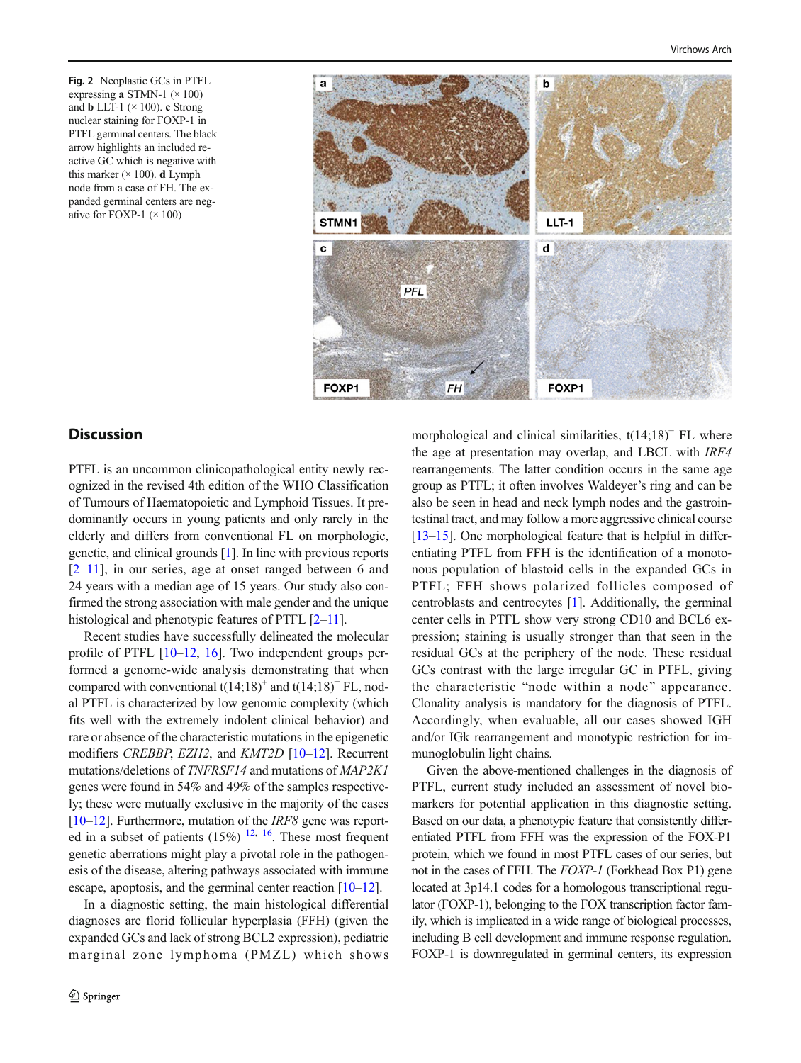<span id="page-5-0"></span>Fig. 2 Neoplastic GCs in PTFL expressing a STMN-1  $(\times 100)$ and **b** LLT-1 ( $\times$  100). c Strong nuclear staining for FOXP-1 in PTFL germinal centers. The black arrow highlights an included reactive GC which is negative with this marker  $(\times 100)$ . **d** Lymph node from a case of FH. The expanded germinal centers are negative for FOXP-1  $(\times 100)$ 



# **Discussion**

PTFL is an uncommon clinicopathological entity newly recognized in the revised 4th edition of the WHO Classification of Tumours of Haematopoietic and Lymphoid Tissues. It predominantly occurs in young patients and only rarely in the elderly and differs from conventional FL on morphologic, genetic, and clinical grounds [\[1](#page-7-0)]. In line with previous reports  $[2-11]$  $[2-11]$  $[2-11]$  $[2-11]$ , in our series, age at onset ranged between 6 and 24 years with a median age of 15 years. Our study also confirmed the strong association with male gender and the unique histological and phenotypic features of PTFL  $[2-11]$  $[2-11]$  $[2-11]$ .

Recent studies have successfully delineated the molecular profile of PTFL [[10](#page-7-0)–[12](#page-7-0), [16](#page-7-0)]. Two independent groups performed a genome-wide analysis demonstrating that when compared with conventional  $t(14;18)^+$  and  $t(14;18)^-$  FL, nodal PTFL is characterized by low genomic complexity (which fits well with the extremely indolent clinical behavior) and rare or absence of the characteristic mutations in the epigenetic modifiers CREBBP, EZH2, and KMT2D [[10](#page-7-0)-[12](#page-7-0)]. Recurrent mutations/deletions of TNFRSF14 and mutations of MAP2K1 genes were found in 54% and 49% of the samples respectively; these were mutually exclusive in the majority of the cases [\[10](#page-7-0)–[12\]](#page-7-0). Furthermore, mutation of the IRF8 gene was reported in a subset of patients  $(15%)$  <sup>[12,](#page-7-0) [16](#page-7-0)</sup>. These most frequent genetic aberrations might play a pivotal role in the pathogenesis of the disease, altering pathways associated with immune escape, apoptosis, and the germinal center reaction [\[10](#page-7-0)–[12\]](#page-7-0).

In a diagnostic setting, the main histological differential diagnoses are florid follicular hyperplasia (FFH) (given the expanded GCs and lack of strong BCL2 expression), pediatric marginal zone lymphoma (PMZL) which shows morphological and clinical similarities, t(14;18)<sup>−</sup> FL where the age at presentation may overlap, and LBCL with IRF4 rearrangements. The latter condition occurs in the same age group as PTFL; it often involves Waldeyer's ring and can be also be seen in head and neck lymph nodes and the gastrointestinal tract, and may follow a more aggressive clinical course [\[13](#page-7-0)–[15\]](#page-7-0). One morphological feature that is helpful in differentiating PTFL from FFH is the identification of a monotonous population of blastoid cells in the expanded GCs in PTFL; FFH shows polarized follicles composed of centroblasts and centrocytes [\[1](#page-7-0)]. Additionally, the germinal center cells in PTFL show very strong CD10 and BCL6 expression; staining is usually stronger than that seen in the residual GCs at the periphery of the node. These residual GCs contrast with the large irregular GC in PTFL, giving the characteristic "node within a node" appearance. Clonality analysis is mandatory for the diagnosis of PTFL. Accordingly, when evaluable, all our cases showed IGH and/or IGk rearrangement and monotypic restriction for immunoglobulin light chains.

Given the above-mentioned challenges in the diagnosis of PTFL, current study included an assessment of novel biomarkers for potential application in this diagnostic setting. Based on our data, a phenotypic feature that consistently differentiated PTFL from FFH was the expression of the FOX-P1 protein, which we found in most PTFL cases of our series, but not in the cases of FFH. The FOXP-1 (Forkhead Box P1) gene located at 3p14.1 codes for a homologous transcriptional regulator (FOXP-1), belonging to the FOX transcription factor family, which is implicated in a wide range of biological processes, including B cell development and immune response regulation. FOXP-1 is downregulated in germinal centers, its expression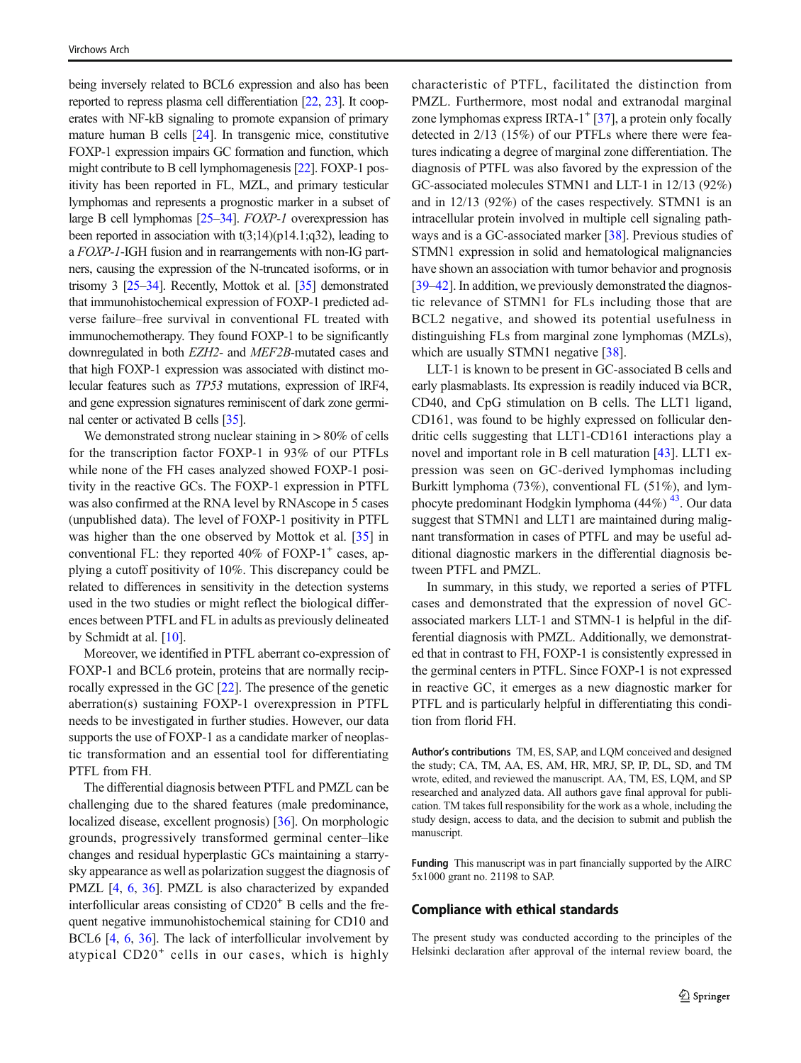being inversely related to BCL6 expression and also has been reported to repress plasma cell differentiation [\[22,](#page-7-0) [23](#page-7-0)]. It cooperates with NF-kB signaling to promote expansion of primary mature human B cells [\[24\]](#page-7-0). In transgenic mice, constitutive FOXP-1 expression impairs GC formation and function, which might contribute to B cell lymphomagenesis [\[22\]](#page-7-0). FOXP-1 positivity has been reported in FL, MZL, and primary testicular lymphomas and represents a prognostic marker in a subset of large B cell lymphomas [\[25](#page-7-0)–[34\]](#page-8-0). FOXP-1 overexpression has been reported in association with  $t(3;14)(p14.1;q32)$ , leading to a FOXP-1-IGH fusion and in rearrangements with non-IG partners, causing the expression of the N-truncated isoforms, or in trisomy 3 [\[25](#page-7-0)–[34](#page-8-0)]. Recently, Mottok et al. [[35\]](#page-8-0) demonstrated that immunohistochemical expression of FOXP-1 predicted adverse failure–free survival in conventional FL treated with immunochemotherapy. They found FOXP-1 to be significantly downregulated in both EZH2- and MEF2B-mutated cases and that high FOXP-1 expression was associated with distinct molecular features such as TP53 mutations, expression of IRF4, and gene expression signatures reminiscent of dark zone germinal center or activated B cells [\[35\]](#page-8-0).

We demonstrated strong nuclear staining in  $> 80\%$  of cells for the transcription factor FOXP-1 in 93% of our PTFLs while none of the FH cases analyzed showed FOXP-1 positivity in the reactive GCs. The FOXP-1 expression in PTFL was also confirmed at the RNA level by RNAscope in 5 cases (unpublished data). The level of FOXP-1 positivity in PTFL was higher than the one observed by Mottok et al. [[35\]](#page-8-0) in conventional FL: they reported  $40\%$  of FOXP-1<sup>+</sup> cases, applying a cutoff positivity of 10%. This discrepancy could be related to differences in sensitivity in the detection systems used in the two studies or might reflect the biological differences between PTFL and FL in adults as previously delineated by Schmidt at al. [\[10\]](#page-7-0).

Moreover, we identified in PTFL aberrant co-expression of FOXP-1 and BCL6 protein, proteins that are normally reciprocally expressed in the GC [[22](#page-7-0)]. The presence of the genetic aberration(s) sustaining FOXP-1 overexpression in PTFL needs to be investigated in further studies. However, our data supports the use of FOXP-1 as a candidate marker of neoplastic transformation and an essential tool for differentiating PTFL from FH.

The differential diagnosis between PTFL and PMZL can be challenging due to the shared features (male predominance, localized disease, excellent prognosis) [\[36](#page-8-0)]. On morphologic grounds, progressively transformed germinal center–like changes and residual hyperplastic GCs maintaining a starrysky appearance as well as polarization suggest the diagnosis of PMZL [[4,](#page-7-0) [6,](#page-7-0) [36](#page-8-0)]. PMZL is also characterized by expanded interfollicular areas consisting of  $CD20<sup>+</sup>$  B cells and the frequent negative immunohistochemical staining for CD10 and BCL6 [[4](#page-7-0), [6](#page-7-0), [36\]](#page-8-0). The lack of interfollicular involvement by atypical CD20<sup>+</sup> cells in our cases, which is highly

characteristic of PTFL, facilitated the distinction from PMZL. Furthermore, most nodal and extranodal marginal zone lymphomas express IRTA- $1^+$  [\[37](#page-8-0)], a protein only focally detected in 2/13 (15%) of our PTFLs where there were features indicating a degree of marginal zone differentiation. The diagnosis of PTFL was also favored by the expression of the GC-associated molecules STMN1 and LLT-1 in 12/13 (92%) and in 12/13 (92%) of the cases respectively. STMN1 is an intracellular protein involved in multiple cell signaling pathways and is a GC-associated marker [[38](#page-8-0)]. Previous studies of STMN1 expression in solid and hematological malignancies have shown an association with tumor behavior and prognosis [\[39](#page-8-0)–[42\]](#page-8-0). In addition, we previously demonstrated the diagnostic relevance of STMN1 for FLs including those that are BCL2 negative, and showed its potential usefulness in distinguishing FLs from marginal zone lymphomas (MZLs), which are usually STMN1 negative [[38\]](#page-8-0).

LLT-1 is known to be present in GC-associated B cells and early plasmablasts. Its expression is readily induced via BCR, CD40, and CpG stimulation on B cells. The LLT1 ligand, CD161, was found to be highly expressed on follicular dendritic cells suggesting that LLT1-CD161 interactions play a novel and important role in B cell maturation [\[43\]](#page-8-0). LLT1 expression was seen on GC-derived lymphomas including Burkitt lymphoma (73%), conventional FL (51%), and lymphocyte predominant Hodgkin lymphoma  $(44\%)$ <sup>43</sup>. Our data suggest that STMN1 and LLT1 are maintained during malignant transformation in cases of PTFL and may be useful additional diagnostic markers in the differential diagnosis between PTFL and PMZL.

In summary, in this study, we reported a series of PTFL cases and demonstrated that the expression of novel GCassociated markers LLT-1 and STMN-1 is helpful in the differential diagnosis with PMZL. Additionally, we demonstrated that in contrast to FH, FOXP-1 is consistently expressed in the germinal centers in PTFL. Since FOXP-1 is not expressed in reactive GC, it emerges as a new diagnostic marker for PTFL and is particularly helpful in differentiating this condition from florid FH.

Author's contributions TM, ES, SAP, and LQM conceived and designed the study; CA, TM, AA, ES, AM, HR, MRJ, SP, IP, DL, SD, and TM wrote, edited, and reviewed the manuscript. AA, TM, ES, LQM, and SP researched and analyzed data. All authors gave final approval for publication. TM takes full responsibility for the work as a whole, including the study design, access to data, and the decision to submit and publish the manuscript.

Funding This manuscript was in part financially supported by the AIRC 5x1000 grant no. 21198 to SAP.

#### Compliance with ethical standards

The present study was conducted according to the principles of the Helsinki declaration after approval of the internal review board, the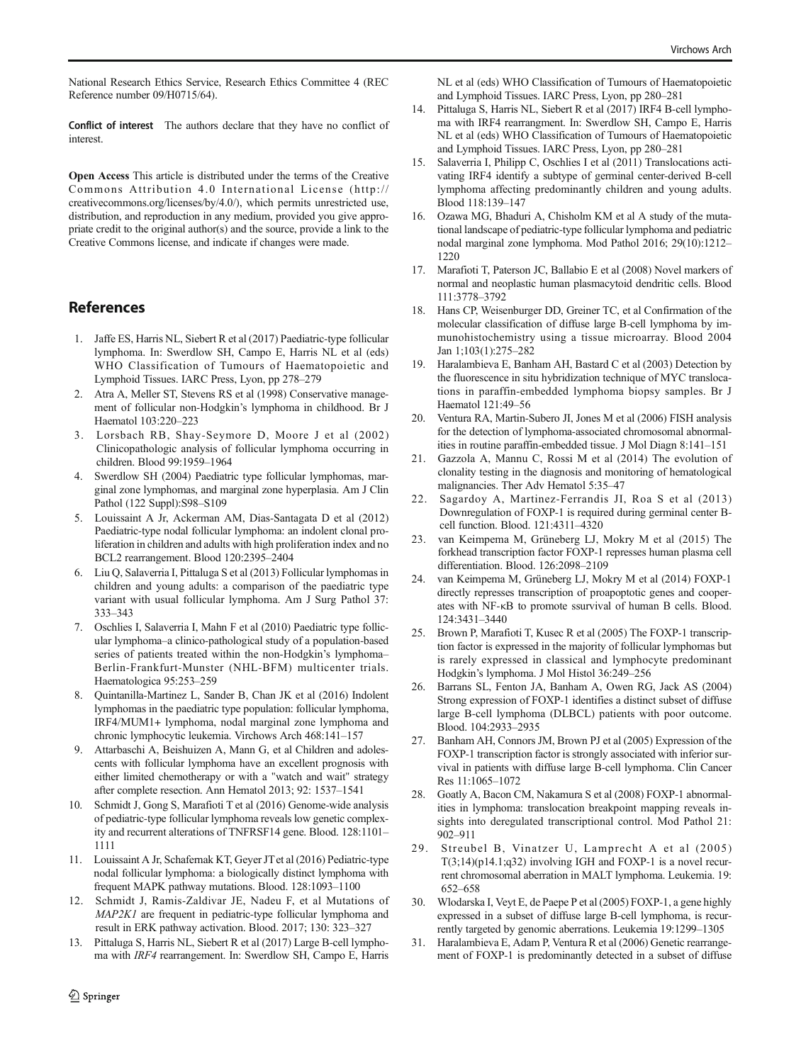<span id="page-7-0"></span>National Research Ethics Service, Research Ethics Committee 4 (REC Reference number 09/H0715/64).

Conflict of interest The authors declare that they have no conflict of interest.

Open Access This article is distributed under the terms of the Creative Commons Attribution 4.0 International License (http:// creativecommons.org/licenses/by/4.0/), which permits unrestricted use, distribution, and reproduction in any medium, provided you give appropriate credit to the original author(s) and the source, provide a link to the Creative Commons license, and indicate if changes were made.

## References

- 1. Jaffe ES, Harris NL, Siebert R et al (2017) Paediatric-type follicular lymphoma. In: Swerdlow SH, Campo E, Harris NL et al (eds) WHO Classification of Tumours of Haematopoietic and Lymphoid Tissues. IARC Press, Lyon, pp 278–279
- 2. Atra A, Meller ST, Stevens RS et al (1998) Conservative management of follicular non-Hodgkin's lymphoma in childhood. Br J Haematol 103:220–223
- 3. Lorsbach RB, Shay-Seymore D, Moore J et al (2002) Clinicopathologic analysis of follicular lymphoma occurring in children. Blood 99:1959–1964
- 4. Swerdlow SH (2004) Paediatric type follicular lymphomas, marginal zone lymphomas, and marginal zone hyperplasia. Am J Clin Pathol (122 Suppl):S98–S109
- 5. Louissaint A Jr, Ackerman AM, Dias-Santagata D et al (2012) Paediatric-type nodal follicular lymphoma: an indolent clonal proliferation in children and adults with high proliferation index and no BCL2 rearrangement. Blood 120:2395–2404
- 6. Liu Q, Salaverria I, Pittaluga S et al (2013) Follicular lymphomas in children and young adults: a comparison of the paediatric type variant with usual follicular lymphoma. Am J Surg Pathol 37: 333–343
- 7. Oschlies I, Salaverria I, Mahn F et al (2010) Paediatric type follicular lymphoma–a clinico-pathological study of a population-based series of patients treated within the non-Hodgkin's lymphoma– Berlin-Frankfurt-Munster (NHL-BFM) multicenter trials. Haematologica 95:253–259
- 8. Quintanilla-Martinez L, Sander B, Chan JK et al (2016) Indolent lymphomas in the paediatric type population: follicular lymphoma, IRF4/MUM1+ lymphoma, nodal marginal zone lymphoma and chronic lymphocytic leukemia. Virchows Arch 468:141–157
- 9. Attarbaschi A, Beishuizen A, Mann G, et al Children and adolescents with follicular lymphoma have an excellent prognosis with either limited chemotherapy or with a "watch and wait" strategy after complete resection. Ann Hematol 2013; 92: 1537–1541
- 10. Schmidt J, Gong S, Marafioti T et al (2016) Genome-wide analysis of pediatric-type follicular lymphoma reveals low genetic complexity and recurrent alterations of TNFRSF14 gene. Blood. 128:1101– 1111
- 11. Louissaint A Jr, Schafernak KT, Geyer JTet al (2016) Pediatric-type nodal follicular lymphoma: a biologically distinct lymphoma with frequent MAPK pathway mutations. Blood. 128:1093–1100
- 12. Schmidt J, Ramis-Zaldivar JE, Nadeu F, et al Mutations of MAP2K1 are frequent in pediatric-type follicular lymphoma and result in ERK pathway activation. Blood. 2017; 130: 323–327
- 13. Pittaluga S, Harris NL, Siebert R et al (2017) Large B-cell lymphoma with IRF4 rearrangement. In: Swerdlow SH, Campo E, Harris

NL et al (eds) WHO Classification of Tumours of Haematopoietic and Lymphoid Tissues. IARC Press, Lyon, pp 280–281

- 14. Pittaluga S, Harris NL, Siebert R et al (2017) IRF4 B-cell lymphoma with IRF4 rearrangment. In: Swerdlow SH, Campo E, Harris NL et al (eds) WHO Classification of Tumours of Haematopoietic and Lymphoid Tissues. IARC Press, Lyon, pp 280–281
- 15. Salaverria I, Philipp C, Oschlies I et al (2011) Translocations activating IRF4 identify a subtype of germinal center-derived B-cell lymphoma affecting predominantly children and young adults. Blood 118:139–147
- 16. Ozawa MG, Bhaduri A, Chisholm KM et al A study of the mutational landscape of pediatric-type follicular lymphoma and pediatric nodal marginal zone lymphoma. Mod Pathol 2016; 29(10):1212– 1220
- 17. Marafioti T, Paterson JC, Ballabio E et al (2008) Novel markers of normal and neoplastic human plasmacytoid dendritic cells. Blood 111:3778–3792
- 18. Hans CP, Weisenburger DD, Greiner TC, et al Confirmation of the molecular classification of diffuse large B-cell lymphoma by immunohistochemistry using a tissue microarray. Blood 2004 Jan 1;103(1):275–282
- 19. Haralambieva E, Banham AH, Bastard C et al (2003) Detection by the fluorescence in situ hybridization technique of MYC translocations in paraffin-embedded lymphoma biopsy samples. Br J Haematol 121:49–56
- 20. Ventura RA, Martin-Subero JI, Jones M et al (2006) FISH analysis for the detection of lymphoma-associated chromosomal abnormalities in routine paraffin-embedded tissue. J Mol Diagn 8:141–151
- 21. Gazzola A, Mannu C, Rossi M et al (2014) The evolution of clonality testing in the diagnosis and monitoring of hematological malignancies. Ther Adv Hematol 5:35–47
- 22. Sagardoy A, Martinez-Ferrandis JI, Roa S et al (2013) Downregulation of FOXP-1 is required during germinal center Bcell function. Blood. 121:4311–4320
- 23. van Keimpema M, Grüneberg LJ, Mokry M et al (2015) The forkhead transcription factor FOXP-1 represses human plasma cell differentiation. Blood. 126:2098–2109
- 24. van Keimpema M, Grüneberg LJ, Mokry M et al (2014) FOXP-1 directly represses transcription of proapoptotic genes and cooperates with NF-κB to promote ssurvival of human B cells. Blood. 124:3431–3440
- 25. Brown P, Marafioti T, Kusec R et al (2005) The FOXP-1 transcription factor is expressed in the majority of follicular lymphomas but is rarely expressed in classical and lymphocyte predominant Hodgkin's lymphoma. J Mol Histol 36:249–256
- 26. Barrans SL, Fenton JA, Banham A, Owen RG, Jack AS (2004) Strong expression of FOXP-1 identifies a distinct subset of diffuse large B-cell lymphoma (DLBCL) patients with poor outcome. Blood. 104:2933–2935
- 27. Banham AH, Connors JM, Brown PJ et al (2005) Expression of the FOXP-1 transcription factor is strongly associated with inferior survival in patients with diffuse large B-cell lymphoma. Clin Cancer Res 11:1065–1072
- 28. Goatly A, Bacon CM, Nakamura S et al (2008) FOXP-1 abnormalities in lymphoma: translocation breakpoint mapping reveals insights into deregulated transcriptional control. Mod Pathol 21: 902–911
- 29. Streubel B, Vinatzer U, Lamprecht A et al (2005) T(3;14)(p14.1;q32) involving IGH and FOXP-1 is a novel recurrent chromosomal aberration in MALT lymphoma. Leukemia. 19: 652–658
- 30. Wlodarska I, Veyt E, de Paepe P et al (2005) FOXP-1, a gene highly expressed in a subset of diffuse large B-cell lymphoma, is recurrently targeted by genomic aberrations. Leukemia 19:1299–1305
- 31. Haralambieva E, Adam P, Ventura R et al (2006) Genetic rearrangement of FOXP-1 is predominantly detected in a subset of diffuse